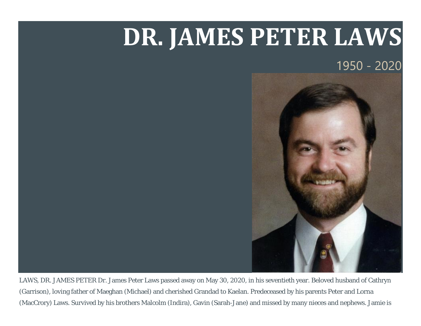## **DR. JAMES PETER LAWS**

1950 - 2020



LAWS, DR. JAMES PETER Dr. James Peter Laws passed away on May 30, 2020, in his seventieth year. Beloved husband of Cathryn (Garrison), loving father of Maeghan (Michael) and cherished Grandad to Kaelan. Predeceased by his parents Peter and Lorna (MacCrory) Laws. Survived by his brothers Malcolm (Indira), Gavin (Sarah-Jane) and missed by many nieces and nephews. Jamie is